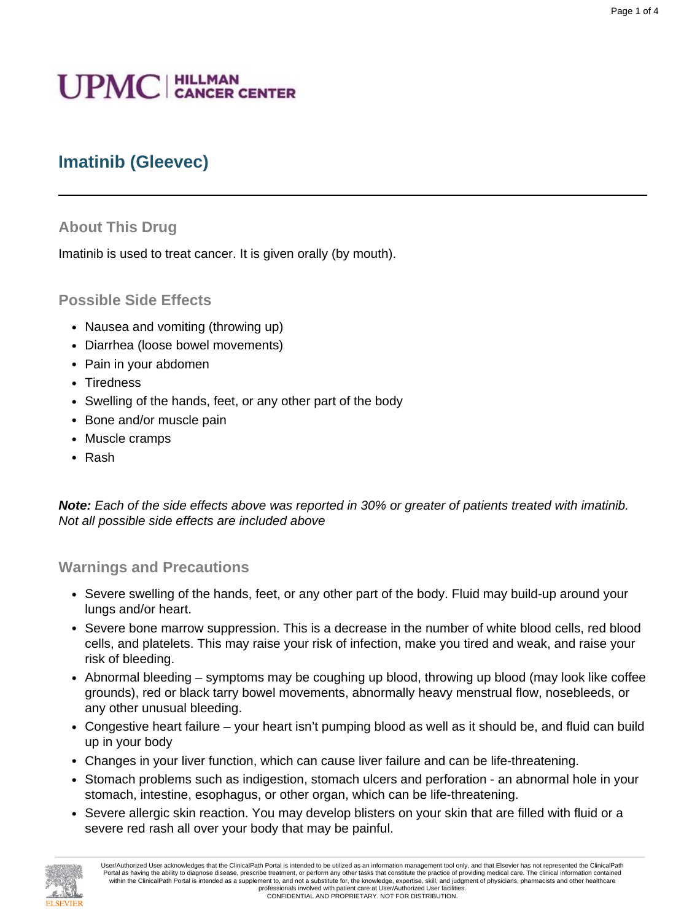# **UPMC** | HILLMAN

# **Imatinib (Gleevec)**

#### **About This Drug**

Imatinib is used to treat cancer. It is given orally (by mouth).

#### **Possible Side Effects**

- Nausea and vomiting (throwing up)
- Diarrhea (loose bowel movements)
- Pain in your abdomen
- Tiredness
- Swelling of the hands, feet, or any other part of the body
- Bone and/or muscle pain
- Muscle cramps
- Rash

**Note:** Each of the side effects above was reported in 30% or greater of patients treated with imatinib. Not all possible side effects are included above

#### **Warnings and Precautions**

- Severe swelling of the hands, feet, or any other part of the body. Fluid may build-up around your lungs and/or heart.
- Severe bone marrow suppression. This is a decrease in the number of white blood cells, red blood cells, and platelets. This may raise your risk of infection, make you tired and weak, and raise your risk of bleeding.
- Abnormal bleeding symptoms may be coughing up blood, throwing up blood (may look like coffee grounds), red or black tarry bowel movements, abnormally heavy menstrual flow, nosebleeds, or any other unusual bleeding.
- Congestive heart failure your heart isn't pumping blood as well as it should be, and fluid can build up in your body
- Changes in your liver function, which can cause liver failure and can be life-threatening.
- Stomach problems such as indigestion, stomach ulcers and perforation an abnormal hole in your stomach, intestine, esophagus, or other organ, which can be life-threatening.
- Severe allergic skin reaction. You may develop blisters on your skin that are filled with fluid or a severe red rash all over your body that may be painful.

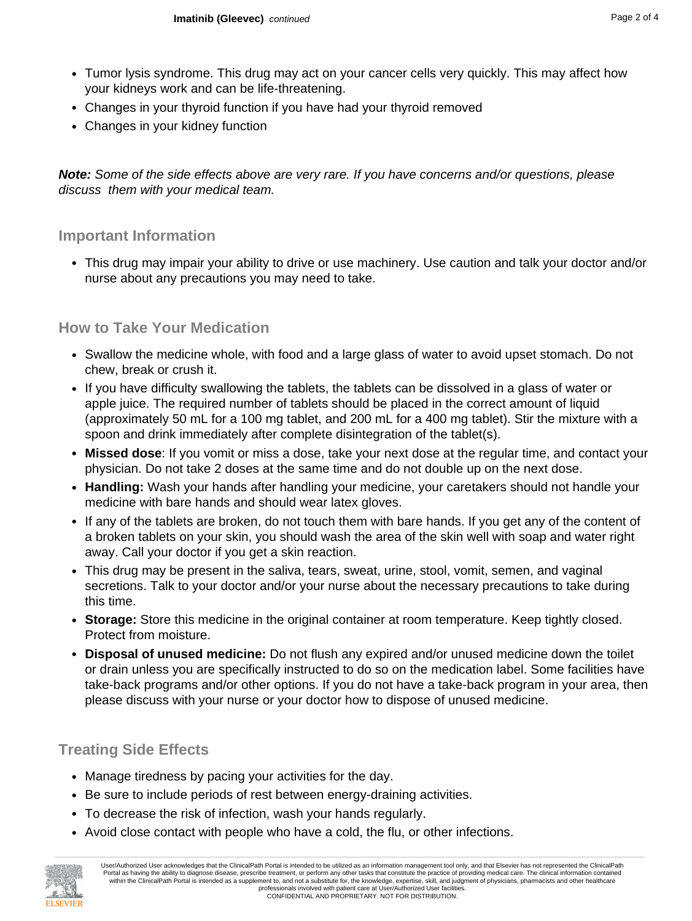- Tumor lysis syndrome. This drug may act on your cancer cells very quickly. This may affect how your kidneys work and can be life-threatening.
- Changes in your thyroid function if you have had your thyroid removed
- Changes in your kidney function

**Note:** Some of the side effects above are very rare. If you have concerns and/or questions, please discuss them with your medical team.

### **Important Information**

• This drug may impair your ability to drive or use machinery. Use caution and talk your doctor and/or nurse about any precautions you may need to take.

## **How to Take Your Medication**

- Swallow the medicine whole, with food and a large glass of water to avoid upset stomach. Do not chew, break or crush it.
- If you have difficulty swallowing the tablets, the tablets can be dissolved in a glass of water or apple juice. The required number of tablets should be placed in the correct amount of liquid (approximately 50 mL for a 100 mg tablet, and 200 mL for a 400 mg tablet). Stir the mixture with a spoon and drink immediately after complete disintegration of the tablet(s).
- **Missed dose**: If you vomit or miss a dose, take your next dose at the regular time, and contact your physician. Do not take 2 doses at the same time and do not double up on the next dose.
- **Handling:** Wash your hands after handling your medicine, your caretakers should not handle your medicine with bare hands and should wear latex gloves.
- If any of the tablets are broken, do not touch them with bare hands. If you get any of the content of a broken tablets on your skin, you should wash the area of the skin well with soap and water right away. Call your doctor if you get a skin reaction.
- This drug may be present in the saliva, tears, sweat, urine, stool, vomit, semen, and vaginal secretions. Talk to your doctor and/or your nurse about the necessary precautions to take during this time.
- **Storage:** Store this medicine in the original container at room temperature. Keep tightly closed. Protect from moisture.
- **Disposal of unused medicine:** Do not flush any expired and/or unused medicine down the toilet or drain unless you are specifically instructed to do so on the medication label. Some facilities have take-back programs and/or other options. If you do not have a take-back program in your area, then please discuss with your nurse or your doctor how to dispose of unused medicine.

# **Treating Side Effects**

- Manage tiredness by pacing your activities for the day.
- Be sure to include periods of rest between energy-draining activities.
- To decrease the risk of infection, wash your hands regularly.
- Avoid close contact with people who have a cold, the flu, or other infections.

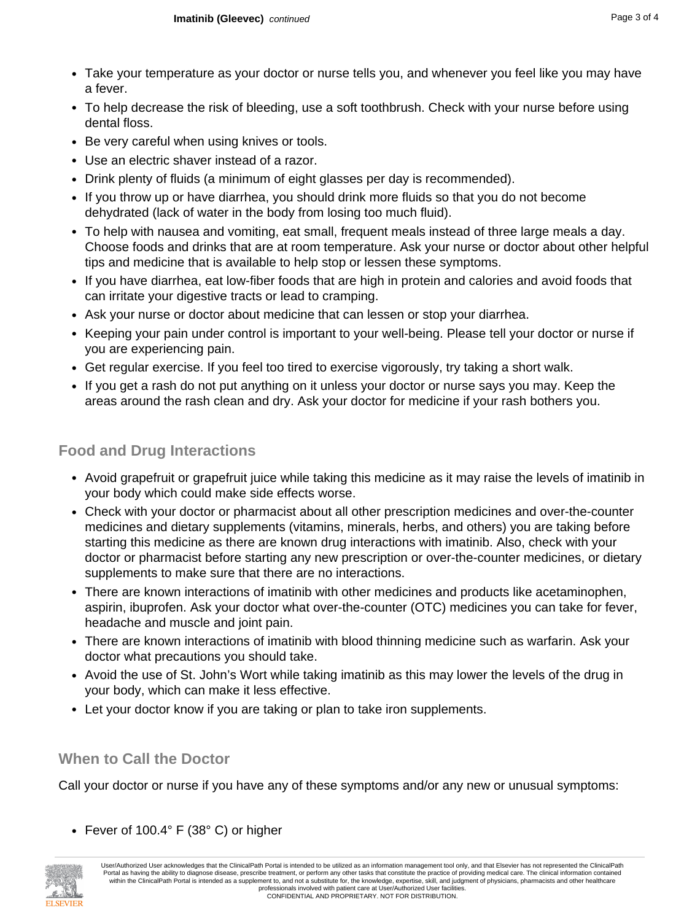- Take your temperature as your doctor or nurse tells you, and whenever you feel like you may have a fever.
- To help decrease the risk of bleeding, use a soft toothbrush. Check with your nurse before using dental floss.
- Be very careful when using knives or tools.
- Use an electric shaver instead of a razor.
- Drink plenty of fluids (a minimum of eight glasses per day is recommended).
- If you throw up or have diarrhea, you should drink more fluids so that you do not become dehydrated (lack of water in the body from losing too much fluid).
- To help with nausea and vomiting, eat small, frequent meals instead of three large meals a day. Choose foods and drinks that are at room temperature. Ask your nurse or doctor about other helpful tips and medicine that is available to help stop or lessen these symptoms.
- If you have diarrhea, eat low-fiber foods that are high in protein and calories and avoid foods that can irritate your digestive tracts or lead to cramping.
- Ask your nurse or doctor about medicine that can lessen or stop your diarrhea.
- Keeping your pain under control is important to your well-being. Please tell your doctor or nurse if you are experiencing pain.
- Get regular exercise. If you feel too tired to exercise vigorously, try taking a short walk.
- If you get a rash do not put anything on it unless your doctor or nurse says you may. Keep the areas around the rash clean and dry. Ask your doctor for medicine if your rash bothers you.

# **Food and Drug Interactions**

- Avoid grapefruit or grapefruit juice while taking this medicine as it may raise the levels of imatinib in your body which could make side effects worse.
- Check with your doctor or pharmacist about all other prescription medicines and over-the-counter medicines and dietary supplements (vitamins, minerals, herbs, and others) you are taking before starting this medicine as there are known drug interactions with imatinib. Also, check with your doctor or pharmacist before starting any new prescription or over-the-counter medicines, or dietary supplements to make sure that there are no interactions.
- There are known interactions of imatinib with other medicines and products like acetaminophen, aspirin, ibuprofen. Ask your doctor what over-the-counter (OTC) medicines you can take for fever, headache and muscle and joint pain.
- There are known interactions of imatinib with blood thinning medicine such as warfarin. Ask your doctor what precautions you should take.
- Avoid the use of St. John's Wort while taking imatinib as this may lower the levels of the drug in your body, which can make it less effective.
- Let your doctor know if you are taking or plan to take iron supplements.

# **When to Call the Doctor**

Call your doctor or nurse if you have any of these symptoms and/or any new or unusual symptoms:

• Fever of 100.4° F (38° C) or higher